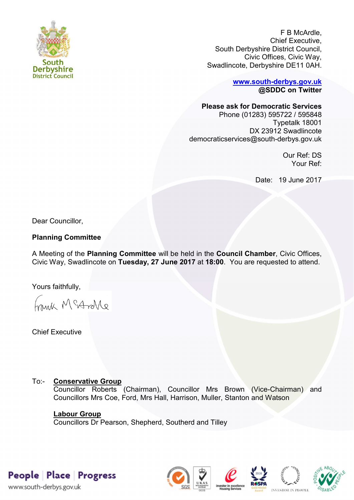

F B McArdle, Chief Executive, Sout[h Derbyshire District Council,](http://www.south-derbys.gov.uk/)  Civic Offices, Civic Way, Swadlincote, Derbyshire DE11 0AH.

> **www.south-derbys.gov.uk @SDDC on Twitter**

**Please ask for Democratic Services** 

Phone (01283) 595722 / 595848 Typetalk 18001 DX 23912 Swadlincote democraticservices@south-derbys.gov.uk

> Our Ref: DS Your Ref:

Date: 19 June 2017

Dear Councillor,

# **Planning Committee**

A Meeting of the **Planning Committee** will be held in the **Council Chamber**, Civic Offices, Civic Way, Swadlincote on **Tuesday, 27 June 2017** at **18:00**. You are requested to attend.

Yours faithfully,

Frink McAndre

Chief Executive

# To:- **Conservative Group**

Councillor Roberts (Chairman), Councillor Mrs Brown (Vice-Chairman) and Councillors Mrs Coe, Ford, Mrs Hall, Harrison, Muller, Stanton and Watson

### **Labour Group**

Councillors Dr Pearson, Shepherd, Southerd and Tilley

People Place Progress

www.south-derbys.gov.uk